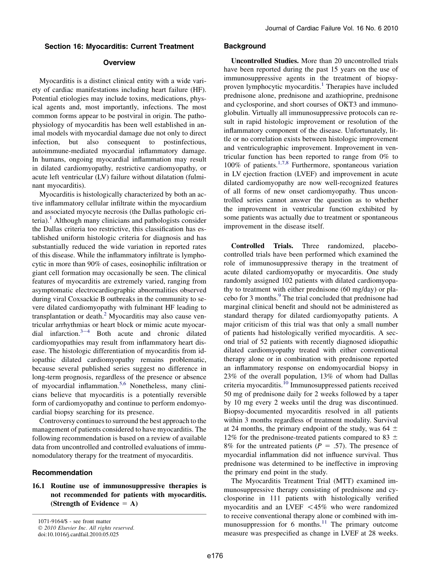# Section 16: Myocarditis: Current Treatment

# **Overview**

Myocarditis is a distinct clinical entity with a wide variety of cardiac manifestations including heart failure (HF). Potential etiologies may include toxins, medications, physical agents and, most importantly, infections. The most common forms appear to be postviral in origin. The pathophysiology of myocarditis has been well established in animal models with myocardial damage due not only to direct infection, but also consequent to postinfectious, autoimmune-mediated myocardial inflammatory damage. In humans, ongoing myocardial inflammation may result in dilated cardiomyopathy, restrictive cardiomyopathy, or acute left ventricular (LV) failure without dilatation (fulminant myocarditis).

Myocarditis is histologically characterized by both an active inflammatory cellular infiltrate within the myocardium and associated myocyte necrosis (the Dallas pathologic cri-teria).<sup>[1](#page-2-0)</sup> Although many clinicians and pathologists consider the Dallas criteria too restrictive, this classification has established uniform histologic criteria for diagnosis and has substantially reduced the wide variation in reported rates of this disease. While the inflammatory infiltrate is lymphocytic in more than 90% of cases, eosinophilic infiltration or giant cell formation may occasionally be seen. The clinical features of myocarditis are extremely varied, ranging from asymptomatic electrocardiographic abnormalities observed during viral Coxsackie B outbreaks in the community to severe dilated cardiomyopathy with fulminant HF leading to transplantation or death.<sup>[2](#page-2-0)</sup> Myocarditis may also cause ventricular arrhythmias or heart block or mimic acute myocardial infarction. $3-4$  Both acut[e](#page-2-0) and chronic dilated cardiomyopathies may result from inflammatory heart disease. The histologic differentiation of myocarditis from idiopathic dilated cardiomyopathy remains problematic, because several published series suggest no difference in long-term prognosis, regardless of the presence or absence of myocardial inflammation.<sup>[5,6](#page-2-0)</sup> Nonetheless, many clinicians believe that myocarditis is a potentially reversible form of cardiomyopathy and continue to perform endomyocardial biopsy searching for its presence.

Controversy continues to surround the best approach to the management of patients considered to have myocarditis. The following recommendation is based on a review of available data from uncontrolled and controlled evaluations of immunomodulatory therapy for the treatment of myocarditis.

# Recommendation

# 16.1 Routine use of immunosuppressive therapies is not recommended for patients with myocarditis. (Strength of Evidence  $= A$ )

1071-9164/\$ - see front matter © 2010 Elsevier Inc. All rights reserved.

doi:10.1016/j.cardfail.2010.05.025

# **Background**

Uncontrolled Studies. More than 20 uncontrolled trials have been reported during the past 15 years on the use of immunosuppressive agents in the treatment of biopsy-proven lymphocytic myocarditis.<sup>[1](#page-2-0)</sup> Therapies have included prednisone alone, prednisone and azathioprine, prednisone and cyclosporine, and short courses of OKT3 and immunoglobulin. Virtually all immunosuppressive protocols can result in rapid histologic improvement or resolution of the inflammatory component of the disease. Unfortunately, little or no correlation exists between histologic improvement and ventriculographic improvement. Improvement in ventricular function has been reported to range from 0% to 100% of patients.[1,7,8](#page-2-0) Furthermore, spontaneous variation in LV ejection fraction (LVEF) and improvement in acute dilated cardiomyopathy are now well-recognized features of all forms of new onset cardiomyopathy. Thus uncontrolled series cannot answer the question as to whether the improvement in ventricular function exhibited by some patients was actually due to treatment or spontaneous improvement in the disease itself.

Controlled Trials. Three randomized, placebocontrolled trials have been performed which examined the role of immunosuppressive therapy in the treatment of acute dilated cardiomyopathy or myocarditis. One study randomly assigned 102 patients with dilated cardiomyopathy to treatment with either prednisone (60 mg/day) or pla-cebo for 3 months.<sup>[9](#page-2-0)</sup> The trial concluded that prednisone had marginal clinical benefit and should not be administered as standard therapy for dilated cardiomyopathy patients. A major criticism of this trial was that only a small number of patients had histologically verified myocarditis. A second trial of 52 patients with recently diagnosed idiopathic dilated cardiomyopathy treated with either conventional therapy alone or in combination with prednisone reported an inflammatory response on endomyocardial biopsy in 23% of the overall population, 13% of whom had Dallas criteria myocarditis.<sup>[10](#page-2-0)</sup> Immunosuppressed patients received 50 mg of prednisone daily for 2 weeks followed by a taper by 10 mg every 2 weeks until the drug was discontinued. Biopsy-documented myocarditis resolved in all patients within 3 months regardless of treatment modality. Survival at 24 months, the primary endpoint of the study, was 64  $\pm$ 12% for the prednisone-treated patients compared to 83  $\pm$ 8% for the untreated patients ( $P = .57$ ). The presence of myocardial inflammation did not influence survival. Thus prednisone was determined to be ineffective in improving the primary end point in the study.

The Myocarditis Treatment Trial (MTT) examined immunosuppressive therapy consisting of prednisone and cyclosporine in 111 patients with histologically verified myocarditis and an LVEF  $\langle 45\% \rangle$  who were randomized to receive conventional therapy alone or combined with im-munosuppression for 6 months.<sup>[11](#page-2-0)</sup> The primary outcome measure was prespecified as change in LVEF at 28 weeks.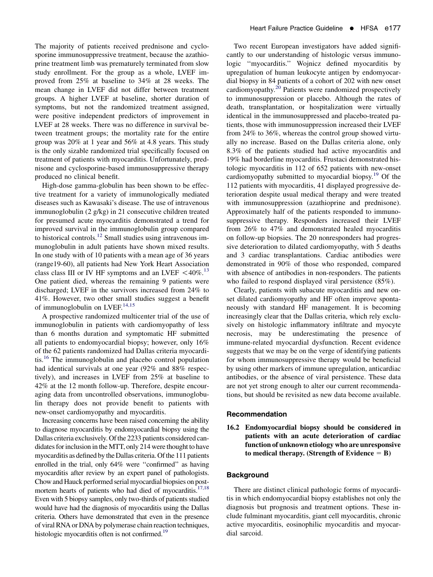The majority of patients received prednisone and cyclosporine immunosuppressive treatment, because the azathioprine treatment limb was prematurely terminated from slow study enrollment. For the group as a whole, LVEF improved from 25% at baseline to 34% at 28 weeks. The mean change in LVEF did not differ between treatment groups. A higher LVEF at baseline, shorter duration of symptoms, but not the randomized treatment assigned, were positive independent predictors of improvement in LVEF at 28 weeks. There was no difference in survival between treatment groups; the mortality rate for the entire group was 20% at 1 year and 56% at 4.8 years. This study is the only sizable randomized trial specifically focused on treatment of patients with myocarditis. Unfortunately, prednisone and cyclosporine-based immunosuppressive therapy produced no clinical benefit.

High-dose gamma-globulin has been shown to be effective treatment for a variety of immunologically mediated diseases such as Kawasaki's disease. The use of intravenous immunoglobulin (2 g/kg) in 21 consecutive children treated for presumed acute myocarditis demonstrated a trend for improved survival in the immunoglobulin group compared to historical controls.[12](#page-2-0) Small studies using intravenous immunoglobulin in adult patients have shown mixed results. In one study with of 10 patients with a mean age of 36 years (range19-60), all patients had New York Heart Association class class III or IV HF symptoms and an LVEF  $\leq 40\%$ .<sup>[13](#page-2-0)</sup> One patient died, whereas the remaining 9 patients were discharged; LVEF in the survivors increased from 24% to 41%. However, two other small studies suggest a benefit of immunoglobulin on LVEF.<sup>[14,15](#page-2-0)</sup>

A prospective randomized multicenter trial of the use of immunoglobulin in patients with cardiomyopathy of less than 6 months duration and symptomatic HF submitted all patients to endomyocardial biopsy; however, only 16% of the 62 patients randomized had Dallas criteria myocarditis.[16](#page-2-0) The immunoglobulin and placebo control population had identical survivals at one year (92% and 88% respectively), and increases in LVEF from 25% at baseline to 42% at the 12 month follow-up. Therefore, despite encouraging data from uncontrolled observations, immunoglobulin therapy does not provide benefit to patients with new-onset cardiomyopathy and myocarditis.

Increasing concerns have been raised concerning the ability to diagnose myocarditis by endomyocardial biopsy using the Dallas criteria exclusively. Of the 2233 patients considered candidates for inclusion in the MTT, only 214 were thought to have myocarditis as defined by the Dallas criteria. Of the 111 patients enrolled in the trial, only 64% were ''confirmed'' as having myocarditis after review by an expert panel of pathologists. Chow and Hauck performed serial myocardial biopsies on post-mortem hearts of patients who had died of myocarditis.<sup>[17,18](#page-2-0)</sup> Even with 5 biopsy samples, only two-thirds of patients studied would have had the diagnosis of myocarditis using the Dallas criteria. Others have demonstrated that even in the presence of viral RNA or DNA by polymerase chain reaction techniques, histologic myocarditis often is not confirmed.<sup>19</sup>

Two recent European investigators have added significantly to our understanding of histologic versus immunologic ''myocarditis.'' Wojnicz defined myocarditis by upregulation of human leukocyte antigen by endomyocardial biopsy in 84 patients of a cohort of 202 with new onset cardiomyopathy.[20](#page-2-0) Patients were randomized prospectively to immunosuppression or placebo. Although the rates of death, transplantation, or hospitalization were virtually identical in the immunosuppressed and placebo-treated patients, those with immunosuppression increased their LVEF from 24% to 36%, whereas the control group showed virtually no increase. Based on the Dallas criteria alone, only 8.3% of the patients studied had active myocarditis and 19% had borderline myocarditis. Frustaci demonstrated histologic myocarditis in 112 of 652 patients with new-onset cardiomyopathy submitted to myocardial biopsy.<sup>19</sup> Of the 112 patients with myocarditis, 41 displayed progressive deterioration despite usual medical therapy and were treated with immunosuppression (azathioprine and prednisone). Approximately half of the patients responded to immunosuppressive therapy. Responders increased their LVEF from 26% to 47% and demonstrated healed myocarditis on follow-up biopsies. The 20 nonresponders had progressive deterioration to dilated cardiomyopathy, with 5 deaths and 3 cardiac transplantations. Cardiac antibodies were demonstrated in 90% of those who responded, compared with absence of antibodies in non-responders. The patients who failed to respond displayed viral persistence (85%).

Clearly, patients with subacute myocarditis and new onset dilated cardiomyopathy and HF often improve spontaneously with standard HF management. It is becoming increasingly clear that the Dallas criteria, which rely exclusively on histologic inflammatory infiltrate and myocyte necrosis, may be underestimating the presence of immune-related myocardial dysfunction. Recent evidence suggests that we may be on the verge of identifying patients for whom immunosuppressive therapy would be beneficial by using other markers of immune upregulation, anticardiac antibodies, or the absence of viral persistence. These data are not yet strong enough to alter our current recommendations, but should be revisited as new data become available.

# Recommendation

16.2 Endomyocardial biopsy should be considered in patients with an acute deterioration of cardiac function of unknown etiology who are unresponsive to medical therapy. (Strength of Evidence  $=$  B)

# **Background**

There are distinct clinical pathologic forms of myocarditis in which endomyocardial biopsy establishes not only the diagnosis but prognosis and treatment options. These include fulminant myocarditis, giant cell myocarditis, chronic active myocarditis, eosinophilic myocarditis and myocardial sarcoid.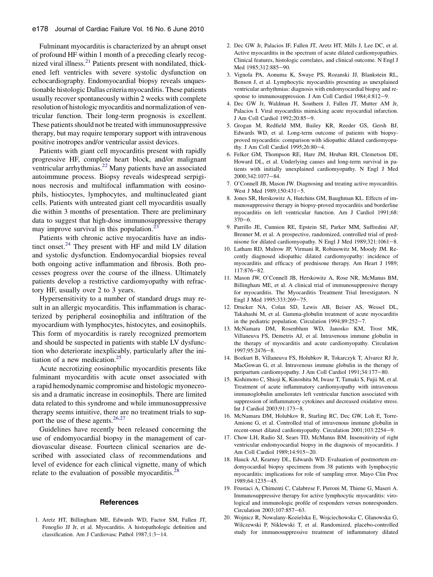<span id="page-2-0"></span>Fulminant myocarditis is characterized by an abrupt onset of profound HF within 1 month of a preceding clearly recognized viral illness. $^{21}$  Patients present with nondilated, thickened left ventricles with severe systolic dysfunction on echocardiography. Endomyocardial biopsy reveals unquestionable histologic Dallas criteria myocarditis. These patients usually recover spontaneously within 2 weeks with complete resolution of histologic myocarditis and normalization of ventricular function. Their long-term prognosis is excellent. These patients should not be treated with immunosuppressive therapy, but may require temporary support with intravenous positive inotropes and/or ventricular assist devices.

Patients with giant cell myocarditis present with rapidly progressive HF, complete heart block, and/or malignant ventricular arrhythmias.<sup>[22](#page-3-0)</sup> Many patients have an associated autoimmune process. Biopsy reveals widespread serpiginous necrosis and multifocal inflammation with eosinophils, histiocytes, lymphocytes, and multinucleated giant cells. Patients with untreated giant cell myocarditis usually die within 3 months of presentation. There are preliminary data to suggest that high-dose immunosuppressive therapy may improve survival in this population.<sup>2</sup>

Patients with chronic active myocarditis have an indistinct onset. $24$  They present with HF and mild LV dilation and systolic dysfunction. Endomyocardial biopsies reveal both ongoing active inflammation and fibrosis. Both processes progress over the course of the illness. Ultimately patients develop a restrictive cardiomyopathy with refractory HF, usually over 2 to 3 years.

Hypersensitivity to a number of standard drugs may result in an allergic myocarditis. This inflammation is characterized by peripheral eosinophilia and infiltration of the myocardium with lymphocytes, histocytes, and eosinophils. This form of myocarditis is rarely recognized premortem and should be suspected in patients with stable LV dysfunction who deteriorate inexplicably, particularly after the initiation of a new medication. $25$ 

Acute necrotizing eosinophilic myocarditis presents like fulminant myocarditis with acute onset associated with a rapid hemodynamic compromise and histologic myonecrosis and a dramatic increase in eosinophils. There are limited data related to this syndrome and while immunosuppressive therapy seems intuitive, there are no treatment trials to sup-port the use of these agents.<sup>[26,27](#page-3-0)</sup>

Guidelines have recently been released concerning the use of endomyocardial biopsy in the management of cardiovascular disease. Fourteen clinical scenarios are described with associated class of recommendations and level of evidence for each clinical vignette, many of which relate to the evaluation of possible myocarditis.<sup>2</sup>

#### **References**

1. Aretz HT, Billingham ME, Edwards WD, Factor SM, Fallen JT, Fenoglio JJ Jr, et al. Myocarditis. A histopathologic definition and classification. Am J Cardiovasc Pathol 1987;1:3-14.

- 2. Dec GW Jr, Palacios IF, Fallen JT, Aretz HT, Mills J, Lee DC, et al. Active myocarditis in the spectrum of acute dilated cardiomyopathies. Clinical features, histologic correlates, and clinical outcome. N Engl J Med 1985;312:885-90.
- 3. Vignola PA, Aonuma K, Swaye PS, Rozanski JJ, Blankstein RL, Benson J, et al. Lymphocytic myocarditis presenting as unexplained ventricular arrhythmias: diagnosis with endomyocardial biopsy and response to immunosuppression. J Am Coll Cardiol 1984;4:812-9.
- 4. Dec GW Jr, Waldman H, Southern J, Fallen JT, Mutter AM Jr, Palacios I. Viral myocarditis mimicking acute myocardial infarction. J Am Coll Cardiol 1992:20:85-9.
- 5. Grogan M, Redfield MM, Bailey KR, Reeder GS, Gersh BJ, Edwards WD, et al. Long-term outcome of patients with biopsyproved myocarditis: comparison with idiopathic dilated cardiomyopathy. J Am Coll Cardiol 1995;26:80-4.
- 6. Felker GM, Thompson RE, Hare JM, Hruban RH, Clemetson DE, Howard DL, et al. Underlying causes and long-term survival in patients with initially unexplained cardiomyopathy. N Engl J Med 2000;342:1077-84.
- 7. O'Connell JB, Mason JW. Diagnosing and treating active myocarditis. West J Med  $1989:150:431-5$ .
- 8. Jones SR, Herskowitz A, Hutchins GM, Baughman KL. Effects of immunosuppressive therapy in biopsy-proved myocarditis and borderline myocarditis on left ventricular function. Am J Cardiol 1991;68:  $370 - 6.$
- 9. Parrillo JE, Cunnion RE, Epstein SE, Parker MM, Suffredini AF, Brenner M, et al. A prospective, randomized, controlled trial of prednisone for dilated cardiomyopathy. N Engl J Med  $1989;321:1061-8$ .
- 10. Latham RD, Mulrow JP, Virmani R, Robinowitz M, Moody JM. Recently diagnosed idiopathic dilated cardiomyopathy: incidence of myocarditis and efficacy of prednisone therapy. Am Heart J 1989; 117:876-82.
- 11. Mason JW, O'Connell JB, Herskowitz A, Rose NR, McManus BM, Billingham ME, et al. A clinical trial of immunosuppressive therapy for myocarditis. The Myocarditis Treatment Trial Investigators. N Engl J Med 1995;333:269-75.
- 12. Drucker NA, Colan SD, Lewis AB, Beiser AS, Wessel DL, Takahashi M, et al. Gamma-globulin treatment of acute myocarditis in the pediatric population. Circulation  $1994;89:252-7$ .
- 13. McNamara DM, Rosenblum WD, Janosko KM, Trost MK, Villaneuva FS, Demetris AJ, et al. Intravenous immune globulin in the therapy of myocarditis and acute cardiomyopathy. Circulation 1997:95:2476-8.
- 14. Bozkurt B, Villaneuva FS, Holubkov R, Tokarczyk T, Alvarez RJ Jr, MacGowan G, et al. Intravenous immune globulin in the therapy of peripartum cardiomyopathy. J Am Coll Cardiol 1991;34:177-80.
- 15. Kishimoto C, Shioji K, Kinoshita M, Iwase T, Tamaki S, Fujii M, et al. Treatment of acute inflammatory cardiomyopathy with intravenous immunoglobulin ameliorates left ventricular function associated with suppression of inflammatory cytokines and decreased oxidative stress. Int J Cardiol 2003;91:173-8.
- 16. McNamara DM, Holubkov R, Starling RC, Dec GW, Loh E, Torre-Amione G, et al. Controlled trial of intravenous immune globulin in recent-onset dilated cardiomyopathy. Circulation 2001;103:2254-9.
- 17. Chow LH, Radio SJ, Sears TD, McManus BM. Insensitivity of right ventricular endomyocardial biopsy in the diagnosis of myocarditis. J Am Coll Cardiol 1989;14:915-20.
- 18. Hauck AJ, Kearney DL, Edwards WD. Evaluation of postmortem endomyocardial biopsy specimens from 38 patients with lymphocytic myocarditis: implications for role of sampling error. Mayo Clin Proc 1989:64:1235-45.
- 19. Frustaci A, Chimenti C, Calabrese F, Pieroni M, Thiene G, Maseri A. Immunosuppressive therapy for active lymphocytic myocarditis: virological and immunologic profile of responders versus nonresponders. Circulation 2003;107:857-63.
- 20. Wojnicz R, Nowalany-Kozielska E, Wojciechowska C, Glanowska G, Wilczewski P, Niklewski T, et al. Randomized, placebo-controlled study for immunosuppressive treatment of inflammatory dilated